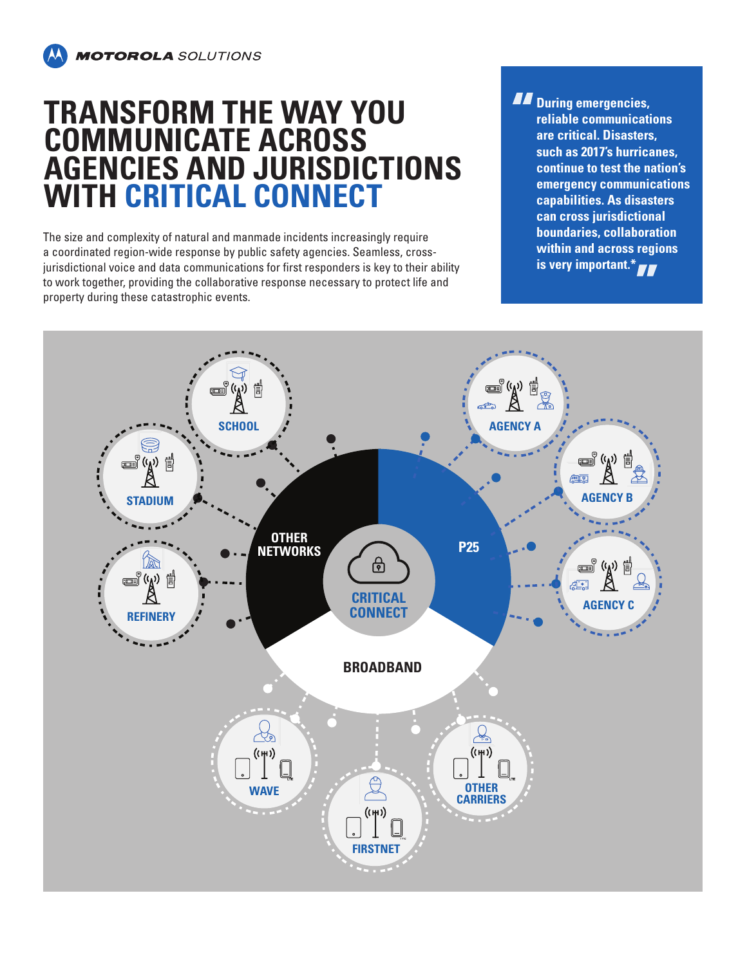## **TRANSFORM THE WAY YOU COMMUNICATE ACROSS AGENCIES AND JURISDICTIONS WITH CRITICAL CONNECT**

The size and complexity of natural and manmade incidents increasingly require a coordinated region-wide response by public safety agencies. Seamless, crossjurisdictional voice and data communications for first responders is key to their ability to work together, providing the collaborative response necessary to protect life and property during these catastrophic events.

*During emergencies,* **reliable communications are critical. Disasters, such as 2017's hurricanes, continue to test the nation's emergency communications capabilities. As disasters can cross jurisdictional boundaries, collaboration within and across regions is very important.\***